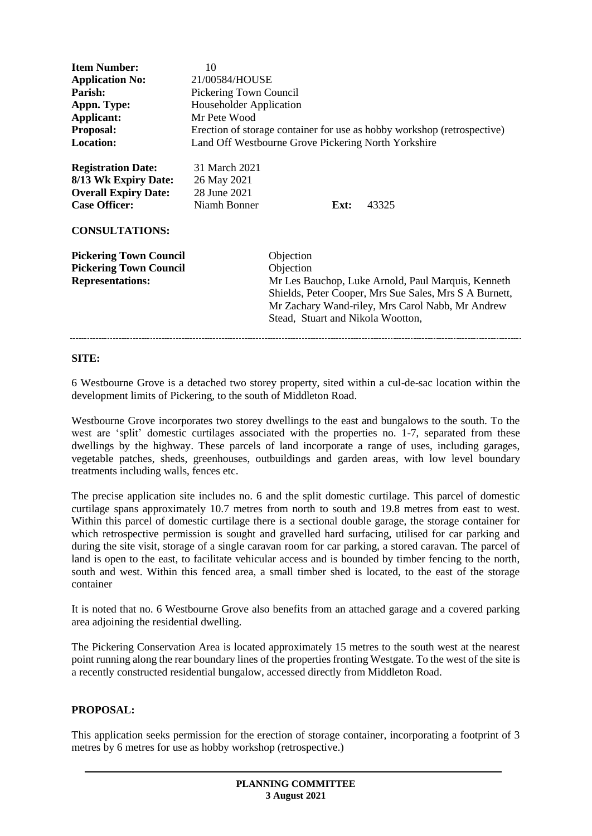| <b>Item Number:</b><br><b>Application No:</b><br>Parish:<br>Appn. Type:<br>Applicant:<br><b>Proposal:</b><br><b>Location:</b>     | 10<br>21/00584/HOUSE<br>Pickering Town Council<br><b>Householder Application</b><br>Mr Pete Wood<br>Land Off Westbourne Grove Pickering North Yorkshire |                                                                                                                                                                                                                                 |      | Erection of storage container for use as hobby workshop (retrospective) |
|-----------------------------------------------------------------------------------------------------------------------------------|---------------------------------------------------------------------------------------------------------------------------------------------------------|---------------------------------------------------------------------------------------------------------------------------------------------------------------------------------------------------------------------------------|------|-------------------------------------------------------------------------|
| <b>Registration Date:</b><br>8/13 Wk Expiry Date:<br><b>Overall Expiry Date:</b><br><b>Case Officer:</b><br><b>CONSULTATIONS:</b> | 31 March 2021<br>26 May 2021<br>28 June 2021<br>Niamh Bonner                                                                                            |                                                                                                                                                                                                                                 | Ext: | 43325                                                                   |
| <b>Pickering Town Council</b><br><b>Pickering Town Council</b><br><b>Representations:</b>                                         |                                                                                                                                                         | Objection<br>Objection<br>Mr Les Bauchop, Luke Arnold, Paul Marquis, Kenneth<br>Shields, Peter Cooper, Mrs Sue Sales, Mrs S A Burnett,<br>Mr Zachary Wand-riley, Mrs Carol Nabb, Mr Andrew<br>Stead, Stuart and Nikola Wootton, |      |                                                                         |

#### **SITE:**

6 Westbourne Grove is a detached two storey property, sited within a cul-de-sac location within the development limits of Pickering, to the south of Middleton Road.

Westbourne Grove incorporates two storey dwellings to the east and bungalows to the south. To the west are 'split' domestic curtilages associated with the properties no. 1-7, separated from these dwellings by the highway. These parcels of land incorporate a range of uses, including garages, vegetable patches, sheds, greenhouses, outbuildings and garden areas, with low level boundary treatments including walls, fences etc.

The precise application site includes no. 6 and the split domestic curtilage. This parcel of domestic curtilage spans approximately 10.7 metres from north to south and 19.8 metres from east to west. Within this parcel of domestic curtilage there is a sectional double garage, the storage container for which retrospective permission is sought and gravelled hard surfacing, utilised for car parking and during the site visit, storage of a single caravan room for car parking, a stored caravan. The parcel of land is open to the east, to facilitate vehicular access and is bounded by timber fencing to the north, south and west. Within this fenced area, a small timber shed is located, to the east of the storage container

It is noted that no. 6 Westbourne Grove also benefits from an attached garage and a covered parking area adjoining the residential dwelling.

The Pickering Conservation Area is located approximately 15 metres to the south west at the nearest point running along the rear boundary lines of the properties fronting Westgate. To the west of the site is a recently constructed residential bungalow, accessed directly from Middleton Road.

# **PROPOSAL:**

This application seeks permission for the erection of storage container, incorporating a footprint of 3 metres by 6 metres for use as hobby workshop (retrospective.)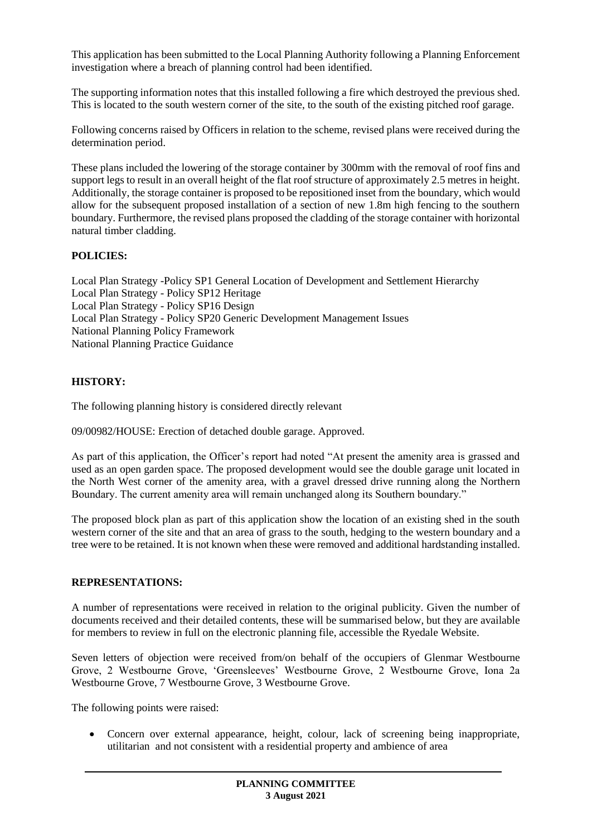This application has been submitted to the Local Planning Authority following a Planning Enforcement investigation where a breach of planning control had been identified.

The supporting information notes that this installed following a fire which destroyed the previous shed. This is located to the south western corner of the site, to the south of the existing pitched roof garage.

Following concerns raised by Officers in relation to the scheme, revised plans were received during the determination period.

These plans included the lowering of the storage container by 300mm with the removal of roof fins and support legs to result in an overall height of the flat roof structure of approximately 2.5 metres in height. Additionally, the storage container is proposed to be repositioned inset from the boundary, which would allow for the subsequent proposed installation of a section of new 1.8m high fencing to the southern boundary. Furthermore, the revised plans proposed the cladding of the storage container with horizontal natural timber cladding.

# **POLICIES:**

Local Plan Strategy -Policy SP1 General Location of Development and Settlement Hierarchy Local Plan Strategy - Policy SP12 Heritage Local Plan Strategy - Policy SP16 Design Local Plan Strategy - Policy SP20 Generic Development Management Issues National Planning Policy Framework National Planning Practice Guidance

# **HISTORY:**

The following planning history is considered directly relevant

09/00982/HOUSE: Erection of detached double garage. Approved.

As part of this application, the Officer's report had noted "At present the amenity area is grassed and used as an open garden space. The proposed development would see the double garage unit located in the North West corner of the amenity area, with a gravel dressed drive running along the Northern Boundary. The current amenity area will remain unchanged along its Southern boundary."

The proposed block plan as part of this application show the location of an existing shed in the south western corner of the site and that an area of grass to the south, hedging to the western boundary and a tree were to be retained. It is not known when these were removed and additional hardstanding installed.

# **REPRESENTATIONS:**

A number of representations were received in relation to the original publicity. Given the number of documents received and their detailed contents, these will be summarised below, but they are available for members to review in full on the electronic planning file, accessible the Ryedale Website.

Seven letters of objection were received from/on behalf of the occupiers of Glenmar Westbourne Grove, 2 Westbourne Grove, 'Greensleeves' Westbourne Grove, 2 Westbourne Grove, Iona 2a Westbourne Grove, 7 Westbourne Grove, 3 Westbourne Grove.

The following points were raised:

 Concern over external appearance, height, colour, lack of screening being inappropriate, utilitarian and not consistent with a residential property and ambience of area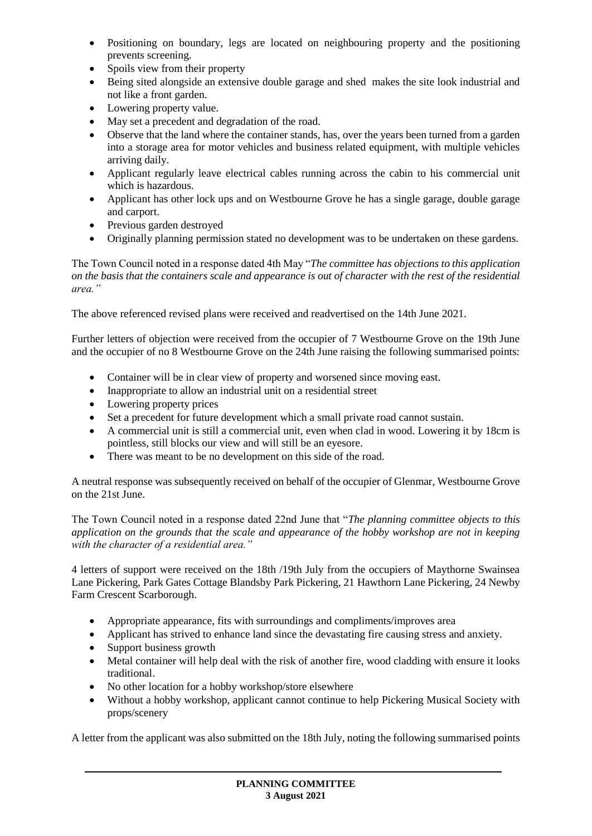- Positioning on boundary, legs are located on neighbouring property and the positioning prevents screening.
- Spoils view from their property
- Being sited alongside an extensive double garage and shed makes the site look industrial and not like a front garden.
- Lowering property value.
- May set a precedent and degradation of the road.
- Observe that the land where the container stands, has, over the years been turned from a garden into a storage area for motor vehicles and business related equipment, with multiple vehicles arriving daily.
- Applicant regularly leave electrical cables running across the cabin to his commercial unit which is hazardous.
- Applicant has other lock ups and on Westbourne Grove he has a single garage, double garage and carport.
- Previous garden destroyed
- Originally planning permission stated no development was to be undertaken on these gardens.

The Town Council noted in a response dated 4th May "*The committee has objections to this application on the basis that the containers scale and appearance is out of character with the rest of the residential area."*

The above referenced revised plans were received and readvertised on the 14th June 2021.

Further letters of objection were received from the occupier of 7 Westbourne Grove on the 19th June and the occupier of no 8 Westbourne Grove on the 24th June raising the following summarised points:

- Container will be in clear view of property and worsened since moving east.
- Inappropriate to allow an industrial unit on a residential street
- Lowering property prices
- Set a precedent for future development which a small private road cannot sustain.
- A commercial unit is still a commercial unit, even when clad in wood. Lowering it by 18cm is pointless, still blocks our view and will still be an eyesore.
- There was meant to be no development on this side of the road.

A neutral response was subsequently received on behalf of the occupier of Glenmar, Westbourne Grove on the 21st June.

The Town Council noted in a response dated 22nd June that "*The planning committee objects to this application on the grounds that the scale and appearance of the hobby workshop are not in keeping with the character of a residential area."*

4 letters of support were received on the 18th /19th July from the occupiers of Maythorne Swainsea Lane Pickering, Park Gates Cottage Blandsby Park Pickering, 21 Hawthorn Lane Pickering, 24 Newby Farm Crescent Scarborough.

- Appropriate appearance, fits with surroundings and compliments/improves area
- Applicant has strived to enhance land since the devastating fire causing stress and anxiety.
- Support business growth
- Metal container will help deal with the risk of another fire, wood cladding with ensure it looks traditional.
- No other location for a hobby workshop/store elsewhere
- Without a hobby workshop, applicant cannot continue to help Pickering Musical Society with props/scenery

A letter from the applicant was also submitted on the 18th July, noting the following summarised points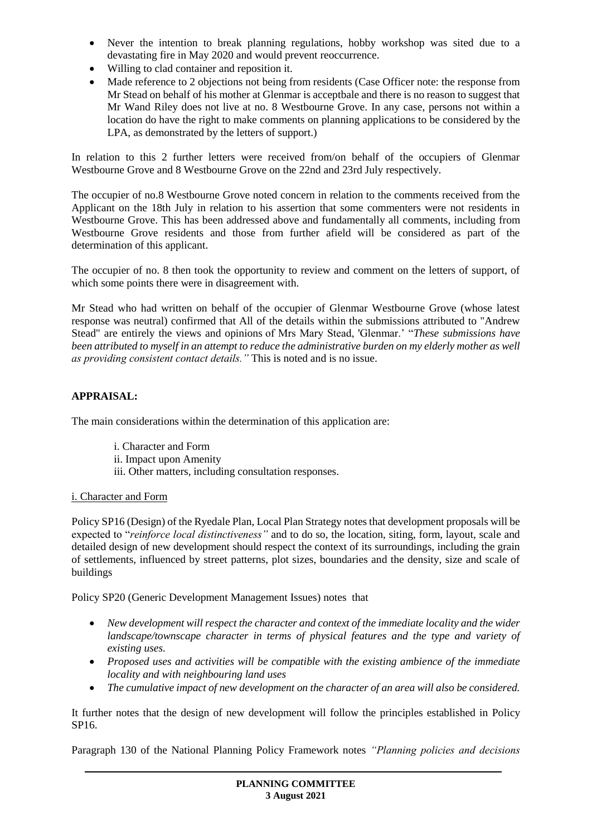- Never the intention to break planning regulations, hobby workshop was sited due to a devastating fire in May 2020 and would prevent reoccurrence.
- Willing to clad container and reposition it.
- Made reference to 2 objections not being from residents (Case Officer note: the response from Mr Stead on behalf of his mother at Glenmar is acceptbale and there is no reason to suggest that Mr Wand Riley does not live at no. 8 Westbourne Grove. In any case, persons not within a location do have the right to make comments on planning applications to be considered by the LPA, as demonstrated by the letters of support.)

In relation to this 2 further letters were received from/on behalf of the occupiers of Glenmar Westbourne Grove and 8 Westbourne Grove on the 22nd and 23rd July respectively.

The occupier of no.8 Westbourne Grove noted concern in relation to the comments received from the Applicant on the 18th July in relation to his assertion that some commenters were not residents in Westbourne Grove. This has been addressed above and fundamentally all comments, including from Westbourne Grove residents and those from further afield will be considered as part of the determination of this applicant.

The occupier of no. 8 then took the opportunity to review and comment on the letters of support, of which some points there were in disagreement with.

Mr Stead who had written on behalf of the occupier of Glenmar Westbourne Grove (whose latest response was neutral) confirmed that All of the details within the submissions attributed to "Andrew Stead" are entirely the views and opinions of Mrs Mary Stead, 'Glenmar.' "*These submissions have been attributed to myself in an attempt to reduce the administrative burden on my elderly mother as well as providing consistent contact details."* This is noted and is no issue.

# **APPRAISAL:**

The main considerations within the determination of this application are:

- i. Character and Form
- ii. Impact upon Amenity
- iii. Other matters, including consultation responses.

# i. Character and Form

Policy SP16 (Design) of the Ryedale Plan, Local Plan Strategy notes that development proposals will be expected to "*reinforce local distinctiveness"* and to do so, the location, siting, form, layout, scale and detailed design of new development should respect the context of its surroundings, including the grain of settlements, influenced by street patterns, plot sizes, boundaries and the density, size and scale of buildings

Policy SP20 (Generic Development Management Issues) notes that

- *New development will respect the character and context of the immediate locality and the wider landscape/townscape character in terms of physical features and the type and variety of existing uses.*
- *Proposed uses and activities will be compatible with the existing ambience of the immediate locality and with neighbouring land uses*
- *The cumulative impact of new development on the character of an area will also be considered.*

It further notes that the design of new development will follow the principles established in Policy SP16.

Paragraph 130 of the National Planning Policy Framework notes *"Planning policies and decisions*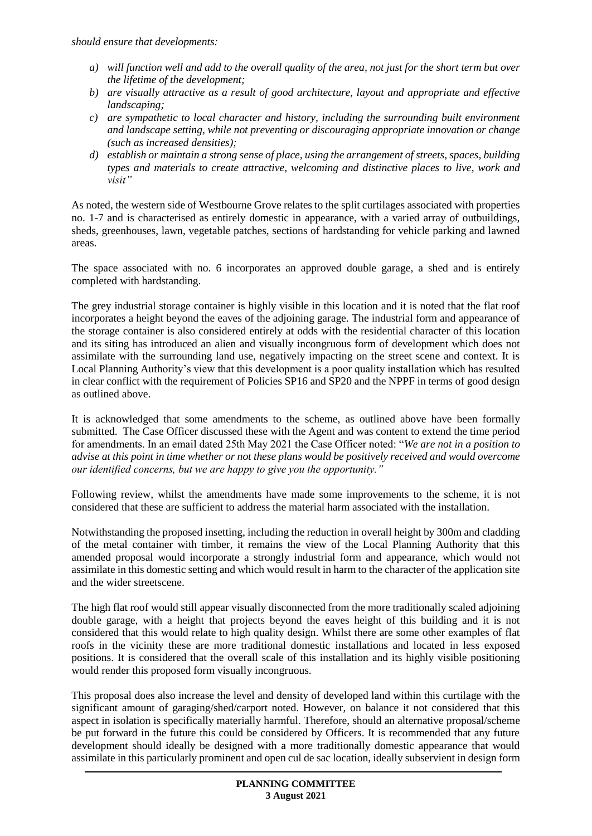*should ensure that developments:*

- *a) will function well and add to the overall quality of the area, not just for the short term but over the lifetime of the development;*
- *b) are visually attractive as a result of good architecture, layout and appropriate and effective landscaping;*
- *c) are sympathetic to local character and history, including the surrounding built environment and landscape setting, while not preventing or discouraging appropriate innovation or change (such as increased densities);*
- *d) establish or maintain a strong sense of place, using the arrangement of streets, spaces, building types and materials to create attractive, welcoming and distinctive places to live, work and visit"*

As noted, the western side of Westbourne Grove relates to the split curtilages associated with properties no. 1-7 and is characterised as entirely domestic in appearance, with a varied array of outbuildings, sheds, greenhouses, lawn, vegetable patches, sections of hardstanding for vehicle parking and lawned areas.

The space associated with no. 6 incorporates an approved double garage, a shed and is entirely completed with hardstanding.

The grey industrial storage container is highly visible in this location and it is noted that the flat roof incorporates a height beyond the eaves of the adjoining garage. The industrial form and appearance of the storage container is also considered entirely at odds with the residential character of this location and its siting has introduced an alien and visually incongruous form of development which does not assimilate with the surrounding land use, negatively impacting on the street scene and context. It is Local Planning Authority's view that this development is a poor quality installation which has resulted in clear conflict with the requirement of Policies SP16 and SP20 and the NPPF in terms of good design as outlined above.

It is acknowledged that some amendments to the scheme, as outlined above have been formally submitted. The Case Officer discussed these with the Agent and was content to extend the time period for amendments. In an email dated 25th May 2021 the Case Officer noted: "*We are not in a position to advise at this point in time whether or not these plans would be positively received and would overcome our identified concerns, but we are happy to give you the opportunity."*

Following review, whilst the amendments have made some improvements to the scheme, it is not considered that these are sufficient to address the material harm associated with the installation.

Notwithstanding the proposed insetting, including the reduction in overall height by 300m and cladding of the metal container with timber, it remains the view of the Local Planning Authority that this amended proposal would incorporate a strongly industrial form and appearance, which would not assimilate in this domestic setting and which would result in harm to the character of the application site and the wider streetscene.

The high flat roof would still appear visually disconnected from the more traditionally scaled adjoining double garage, with a height that projects beyond the eaves height of this building and it is not considered that this would relate to high quality design. Whilst there are some other examples of flat roofs in the vicinity these are more traditional domestic installations and located in less exposed positions. It is considered that the overall scale of this installation and its highly visible positioning would render this proposed form visually incongruous.

This proposal does also increase the level and density of developed land within this curtilage with the significant amount of garaging/shed/carport noted. However, on balance it not considered that this aspect in isolation is specifically materially harmful. Therefore, should an alternative proposal/scheme be put forward in the future this could be considered by Officers. It is recommended that any future development should ideally be designed with a more traditionally domestic appearance that would assimilate in this particularly prominent and open cul de sac location, ideally subservient in design form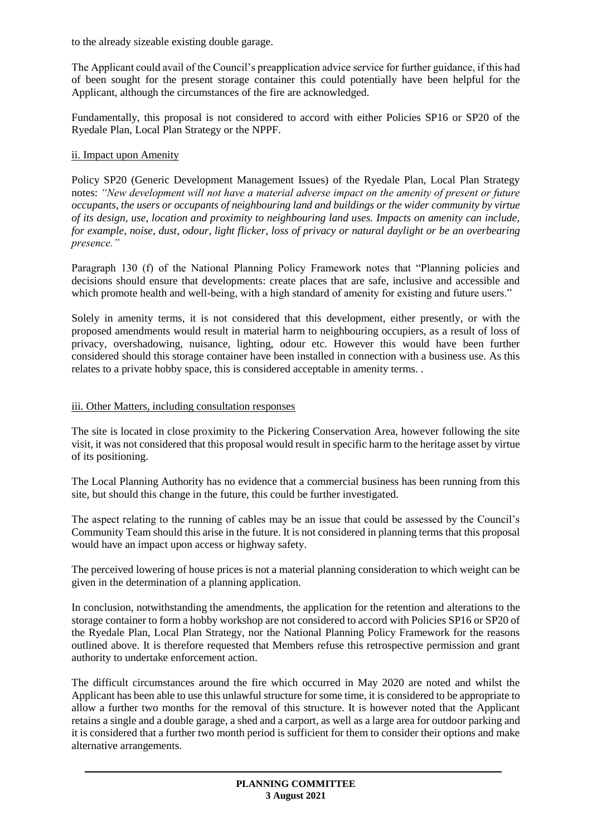to the already sizeable existing double garage.

The Applicant could avail of the Council's preapplication advice service for further guidance, if this had of been sought for the present storage container this could potentially have been helpful for the Applicant, although the circumstances of the fire are acknowledged.

Fundamentally, this proposal is not considered to accord with either Policies SP16 or SP20 of the Ryedale Plan, Local Plan Strategy or the NPPF.

# ii. Impact upon Amenity

Policy SP20 (Generic Development Management Issues) of the Ryedale Plan, Local Plan Strategy notes: *"New development will not have a material adverse impact on the amenity of present or future occupants, the users or occupants of neighbouring land and buildings or the wider community by virtue of its design, use, location and proximity to neighbouring land uses. Impacts on amenity can include, for example, noise, dust, odour, light flicker, loss of privacy or natural daylight or be an overbearing presence."*

Paragraph 130 (f) of the National Planning Policy Framework notes that "Planning policies and decisions should ensure that developments: create places that are safe, inclusive and accessible and which promote health and well-being, with a high standard of amenity for existing and future users."

Solely in amenity terms, it is not considered that this development, either presently, or with the proposed amendments would result in material harm to neighbouring occupiers, as a result of loss of privacy, overshadowing, nuisance, lighting, odour etc. However this would have been further considered should this storage container have been installed in connection with a business use. As this relates to a private hobby space, this is considered acceptable in amenity terms. .

#### iii. Other Matters, including consultation responses

The site is located in close proximity to the Pickering Conservation Area, however following the site visit, it was not considered that this proposal would result in specific harm to the heritage asset by virtue of its positioning.

The Local Planning Authority has no evidence that a commercial business has been running from this site, but should this change in the future, this could be further investigated.

The aspect relating to the running of cables may be an issue that could be assessed by the Council's Community Team should this arise in the future. It is not considered in planning terms that this proposal would have an impact upon access or highway safety.

The perceived lowering of house prices is not a material planning consideration to which weight can be given in the determination of a planning application.

In conclusion, notwithstanding the amendments, the application for the retention and alterations to the storage container to form a hobby workshop are not considered to accord with Policies SP16 or SP20 of the Ryedale Plan, Local Plan Strategy, nor the National Planning Policy Framework for the reasons outlined above. It is therefore requested that Members refuse this retrospective permission and grant authority to undertake enforcement action.

The difficult circumstances around the fire which occurred in May 2020 are noted and whilst the Applicant has been able to use this unlawful structure for some time, it is considered to be appropriate to allow a further two months for the removal of this structure. It is however noted that the Applicant retains a single and a double garage, a shed and a carport, as well as a large area for outdoor parking and it is considered that a further two month period is sufficient for them to consider their options and make alternative arrangements.